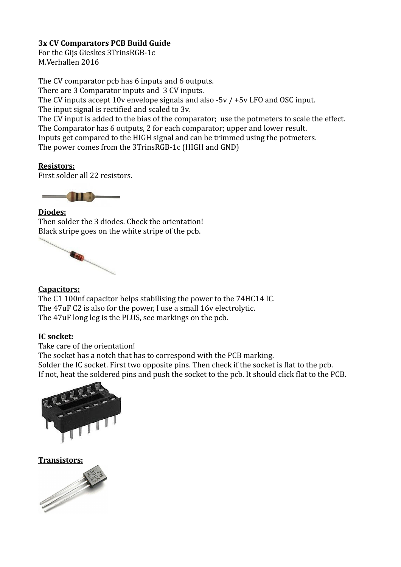## **3x CV Comparators PCB Build Guide**

For the Gijs Gieskes 3TrinsRGB-1c M.Verhallen 2016

The CV comparator pcb has 6 inputs and 6 outputs. There are 3 Comparator inputs and 3 CV inputs. The CV inputs accept 10v envelope signals and also -5v / +5v LFO and OSC input. The input signal is rectified and scaled to 3v. The CV input is added to the bias of the comparator; use the potmeters to scale the effect. The Comparator has 6 outputs, 2 for each comparator; upper and lower result. Inputs get compared to the HIGH signal and can be trimmed using the potmeters. The power comes from the 3TrinsRGB-1c (HIGH and GND)

**Resistors:** First solder all 22 resistors.



## **Diodes:**

Then solder the 3 diodes. Check the orientation! Black stripe goes on the white stripe of the pcb.



### **Capacitors:**

The C1 100nf capacitor helps stabilising the power to the 74HC14 IC. The 47uF C2 is also for the power, I use a small 16v electrolytic. The 47uF long leg is the PLUS, see markings on the pcb.

## **IC socket:**

Take care of the orientation!

The socket has a notch that has to correspond with the PCB marking. Solder the IC socket. First two opposite pins. Then check if the socket is flat to the pcb. If not, heat the soldered pins and push the socket to the pcb. It should click flat to the PCB.



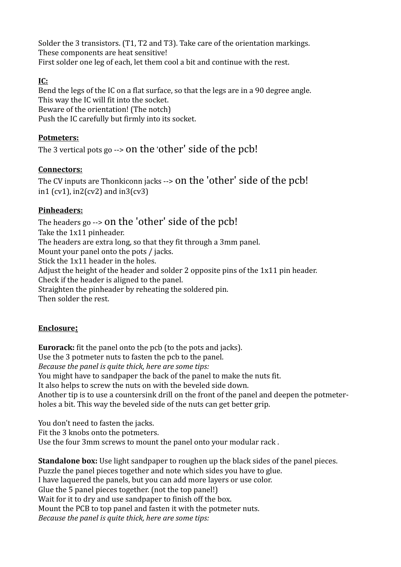Solder the 3 transistors. (T1, T2 and T3). Take care of the orientation markings. These components are heat sensitive! First solder one leg of each, let them cool a bit and continue with the rest.

# **IC:**

Bend the legs of the IC on a flat surface, so that the legs are in a 90 degree angle. This way the IC will fit into the socket. Beware of the orientation! (The notch) Push the IC carefully but firmly into its socket.

# **Potmeters:**

The 3 vertical pots go --> on the 'other' side of the pcb!

# **Connectors:**

The CV inputs are Thonkiconn jacks --> on the 'other' side of the pcb! in1 (cv1), in2(cv2) and in3(cv3)

# **Pinheaders:**

The headers go --> on the 'other' side of the pcb! Take the 1x11 pinheader. The headers are extra long, so that they fit through a 3mm panel. Mount your panel onto the pots / jacks. Stick the 1x11 header in the holes. Adjust the height of the header and solder 2 opposite pins of the 1x11 pin header. Check if the header is aligned to the panel. Straighten the pinheader by reheating the soldered pin. Then solder the rest.

# **Enclosure:**

**Eurorack:** fit the panel onto the pcb (to the pots and jacks). Use the 3 potmeter nuts to fasten the pcb to the panel. *Because the panel is quite thick, here are some tips:* You might have to sandpaper the back of the panel to make the nuts fit. It also helps to screw the nuts on with the beveled side down. Another tip is to use a countersink drill on the front of the panel and deepen the potmeterholes a bit. This way the beveled side of the nuts can get better grip.

You don't need to fasten the jacks. Fit the 3 knobs onto the potmeters. Use the four 3mm screws to mount the panel onto your modular rack .

**Standalone box:** Use light sandpaper to roughen up the black sides of the panel pieces. Puzzle the panel pieces together and note which sides you have to glue. I have laquered the panels, but you can add more layers or use color. Glue the 5 panel pieces together. (not the top panel!) Wait for it to dry and use sandpaper to finish off the box. Mount the PCB to top panel and fasten it with the potmeter nuts. *Because the panel is quite thick, here are some tips:*